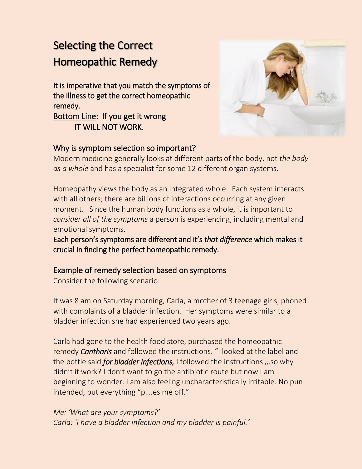# Selecting the Correct Homeopathic Remedy

It is imperative that you match the symptoms of the illness to get the correct homeopathic remedy.

Bottom Line: If you get it wrong IT WILL NOT WORK.



### Why is symptom selection so important?

Modern medicine generally looks at different parts of the body, not *the body as a whole* and has a specialist for some 12 different organ systems.

Homeopathy views the body as an integrated whole. Each system interacts with all others; there are billions of interactions occurring at any given moment. Since the human body functions as a whole, it is important to *consider all of the symptoms* a person is experiencing, including mental and emotional symptoms.

Each person's symptoms are different and it's *that difference* which makes it crucial in finding the perfect homeopathic remedy.

### Example of remedy selection based on symptoms

Consider the following scenario:

It was 8 am on Saturday morning, Carla, a mother of 3 teenage girls, phoned with complaints of a bladder infection. Her symptoms were similar to a bladder infection she had experienced two years ago.

Carla had gone to the health food store, purchased the homeopathic remedy *Cantharis* and followed the instructions. "I looked at the label and the bottle said *for bladder infections,* Ifollowed the instructions *…*so why didn't it work? I don't want to go the antibiotic route but now I am beginning to wonder. I am also feeling uncharacteristically irritable. No pun intended, but everything "p….es me off."

*Me: 'What are your symptoms?' Carla: 'I have a bladder infection and my bladder is painful.'*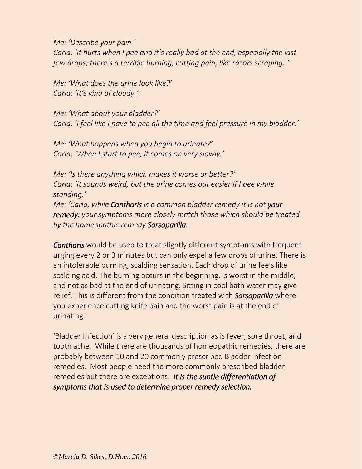*Me: 'Describe your pain.'*

*Carla: 'It hurts when I pee and it's really bad at the end, especially the last few drops; there's a terrible burning, cutting pain, like razors scraping. '*

*Me: 'What does the urine look like?' Carla: 'It's kind of cloudy.'*

*Me: 'What about your bladder?' Carla: 'I feel like I have to pee all the time and feel pressure in my bladder.'*

*Me: 'What happens when you begin to urinate?' Carla: 'When I start to pee, it comes on very slowly.'*

*Me: 'Is there anything which makes it worse or better?' Carla: 'It sounds weird, but the urine comes out easier if I pee while standing.' Me: 'Carla, while Cantharis is a common bladder remedy it is not your remedy; your symptoms more closely match those which should be treated by the homeopathic remedy Sarsaparilla.* 

*Cantharis* would be used to treat slightly different symptoms with frequent urging every 2 or 3 minutes but can only expel a few drops of urine. There is an intolerable burning, scalding sensation. Each drop of urine feels like scalding acid. The burning occurs in the beginning, is worst in the middle, and not as bad at the end of urinating. Sitting in cool bath water may give relief. This is different from the condition treated with *Sarsaparilla* where you experience cutting knife pain and the worst pain is at the end of urinating.

'Bladder Infection' is a very general description as is fever, sore throat, and tooth ache. While there are thousands of homeopathic remedies, there are probably between 10 and 20 commonly prescribed Bladder Infection remedies. Most people need the more commonly prescribed bladder remedies but there are exceptions. *It is the subtle differentiation of symptoms that is used to determine proper remedy selection.*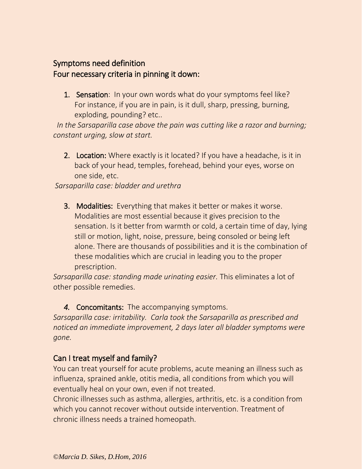# Symptoms need definition Four necessary criteria in pinning it down:

1. Sensation: In your own words what do your symptoms feel like? For instance, if you are in pain, is it dull, sharp, pressing, burning, exploding, pounding? etc..

 *In the Sarsaparilla case above the pain was cutting like a razor and burning; constant urging, slow at start.*

2. Location: Where exactly is it located? If you have a headache, is it in back of your head, temples, forehead, behind your eyes, worse on one side, etc.

*Sarsaparilla case: bladder and urethra*

3. Modalities: Everything that makes it better or makes it worse. Modalities are most essential because it gives precision to the sensation. Is it better from warmth or cold, a certain time of day, lying still or motion, light, noise, pressure, being consoled or being left alone. There are thousands of possibilities and it is the combination of these modalities which are crucial in leading you to the proper prescription.

*Sarsaparilla case: standing made urinating easier.* This eliminates a lot of other possible remedies.

*4.* Concomitants: The accompanying symptoms.

*Sarsaparilla case: irritability. Carla took the Sarsaparilla as prescribed and noticed an immediate improvement, 2 days later all bladder symptoms were gone.*

#### Can I treat myself and family?

You can treat yourself for acute problems, acute meaning an illness such as influenza, sprained ankle, otitis media, all conditions from which you will eventually heal on your own, even if not treated.

Chronic illnesses such as asthma, allergies, arthritis, etc. is a condition from which you cannot recover without outside intervention. Treatment of chronic illness needs a trained homeopath.